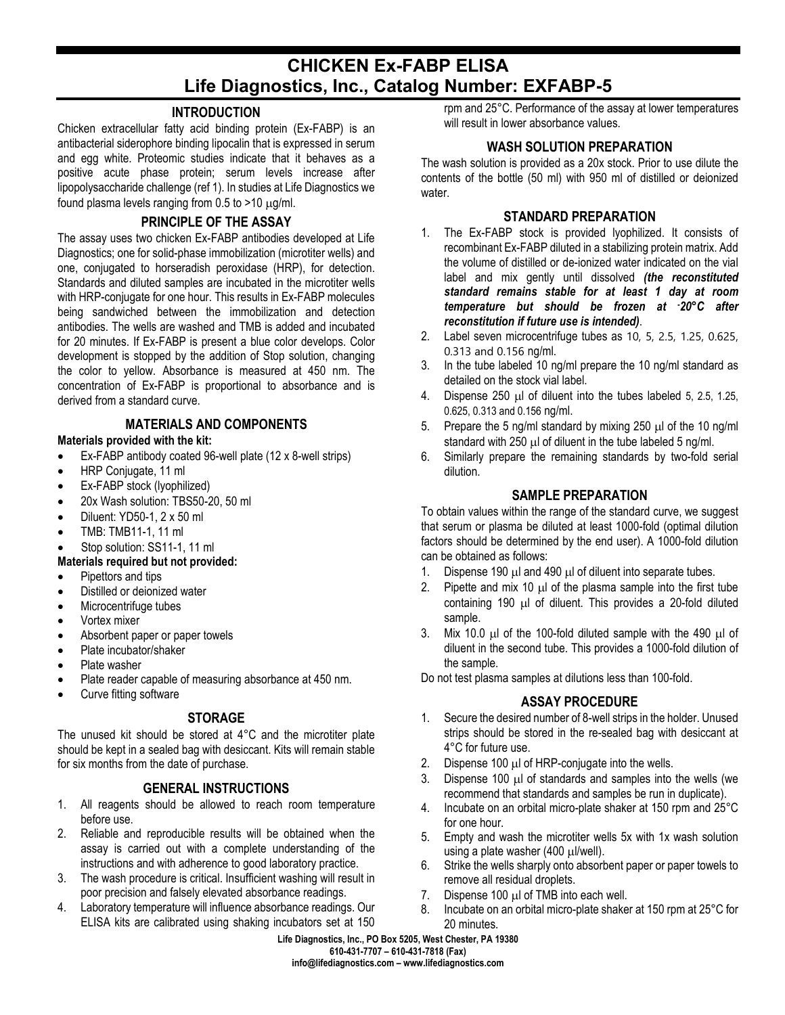# **CHICKEN Ex-FABP ELISA Life Diagnostics, Inc., Catalog Number: EXFABP-5**

## **INTRODUCTION**

Chicken extracellular fatty acid binding protein (Ex-FABP) is an antibacterial siderophore binding lipocalin that is expressed in serum and egg white. Proteomic studies indicate that it behaves as a positive acute phase protein; serum levels increase after lipopolysaccharide challenge (ref 1). In studies at Life Diagnostics we found plasma levels ranging from  $0.5$  to  $>10 \mu$ g/ml.

## **PRINCIPLE OF THE ASSAY**

The assay uses two chicken Ex-FABP antibodies developed at Life Diagnostics; one for solid-phase immobilization (microtiter wells) and one, conjugated to horseradish peroxidase (HRP), for detection. Standards and diluted samples are incubated in the microtiter wells with HRP-conjugate for one hour. This results in Ex-FABP molecules being sandwiched between the immobilization and detection antibodies. The wells are washed and TMB is added and incubated for 20 minutes. If Ex-FABP is present a blue color develops. Color development is stopped by the addition of Stop solution, changing the color to yellow. Absorbance is measured at 450 nm. The concentration of Ex-FABP is proportional to absorbance and is derived from a standard curve.

# **MATERIALS AND COMPONENTS**

# **Materials provided with the kit:**

- Ex-FABP antibody coated 96-well plate (12 x 8-well strips)
- HRP Conjugate, 11 ml
- Ex-FABP stock (lyophilized)
- 20x Wash solution: TBS50-20, 50 ml
- Diluent: YD50-1, 2 x 50 ml
- TMB: TMB11-1, 11 ml
- Stop solution: SS11-1, 11 ml

## **Materials required but not provided:**

- Pipettors and tips
- Distilled or deionized water
- Microcentrifuge tubes
- Vortex mixer
- Absorbent paper or paper towels
- Plate incubator/shaker
- Plate washer
- Plate reader capable of measuring absorbance at 450 nm.
- Curve fitting software

# **STORAGE**

The unused kit should be stored at 4°C and the microtiter plate should be kept in a sealed bag with desiccant. Kits will remain stable for six months from the date of purchase.

## **GENERAL INSTRUCTIONS**

- 1. All reagents should be allowed to reach room temperature before use.
- 2. Reliable and reproducible results will be obtained when the assay is carried out with a complete understanding of the instructions and with adherence to good laboratory practice.
- 3. The wash procedure is critical. Insufficient washing will result in poor precision and falsely elevated absorbance readings.
- 4. Laboratory temperature will influence absorbance readings. Our ELISA kits are calibrated using shaking incubators set at 150

rpm and 25°C. Performance of the assay at lower temperatures will result in lower absorbance values.

# **WASH SOLUTION PREPARATION**

The wash solution is provided as a 20x stock. Prior to use dilute the contents of the bottle (50 ml) with 950 ml of distilled or deionized water.

#### **STANDARD PREPARATION**

- 1. The Ex-FABP stock is provided lyophilized. It consists of recombinant Ex-FABP diluted in a stabilizing protein matrix. Add the volume of distilled or de-ionized water indicated on the vial label and mix gently until dissolved *(the reconstituted standard remains stable for at least 1 day at room temperature but should be frozen at - 20°C after reconstitution if future use is intended)*.
- 2. Label seven microcentrifuge tubes as 10, 5, 2.5, 1.25, 0.625, 0.313 and 0.156 ng/ml.
- 3. In the tube labeled 10 ng/ml prepare the 10 ng/ml standard as detailed on the stock vial label.
- 4. Dispense 250 µl of diluent into the tubes labeled 5, 2.5, 1.25, 0.625, 0.313 and 0.156 ng/ml.
- 5. Prepare the 5 ng/ml standard by mixing 250  $\mu$ l of the 10 ng/ml standard with  $250 \mu$  of diluent in the tube labeled 5 ng/ml.
- 6. Similarly prepare the remaining standards by two-fold serial dilution.

# **SAMPLE PREPARATION**

To obtain values within the range of the standard curve, we suggest that serum or plasma be diluted at least 1000-fold (optimal dilution factors should be determined by the end user). A 1000-fold dilution can be obtained as follows:

- 1. Dispense 190  $\mu$ l and 490  $\mu$ l of diluent into separate tubes.
- 2. Pipette and mix 10  $\mu$  of the plasma sample into the first tube containing 190 µl of diluent. This provides a 20-fold diluted sample.
- 3. Mix 10.0  $\mu$  of the 100-fold diluted sample with the 490  $\mu$  of diluent in the second tube. This provides a 1000-fold dilution of the sample.

Do not test plasma samples at dilutions less than 100-fold.

## **ASSAY PROCEDURE**

- 1. Secure the desired number of 8-well strips in the holder. Unused strips should be stored in the re-sealed bag with desiccant at 4°C for future use.
- 2. Dispense 100  $\mu$ I of HRP-conjugate into the wells.
- 3. Dispense 100 µl of standards and samples into the wells (we recommend that standards and samples be run in duplicate).
- 4. Incubate on an orbital micro-plate shaker at 150 rpm and 25°C for one hour.
- 5. Empty and wash the microtiter wells 5x with 1x wash solution using a plate washer (400 µl/well).
- 6. Strike the wells sharply onto absorbent paper or paper towels to remove all residual droplets.
- 7. Dispense 100 µl of TMB into each well.
- 8. Incubate on an orbital micro-plate shaker at 150 rpm at 25°C for 20 minutes.